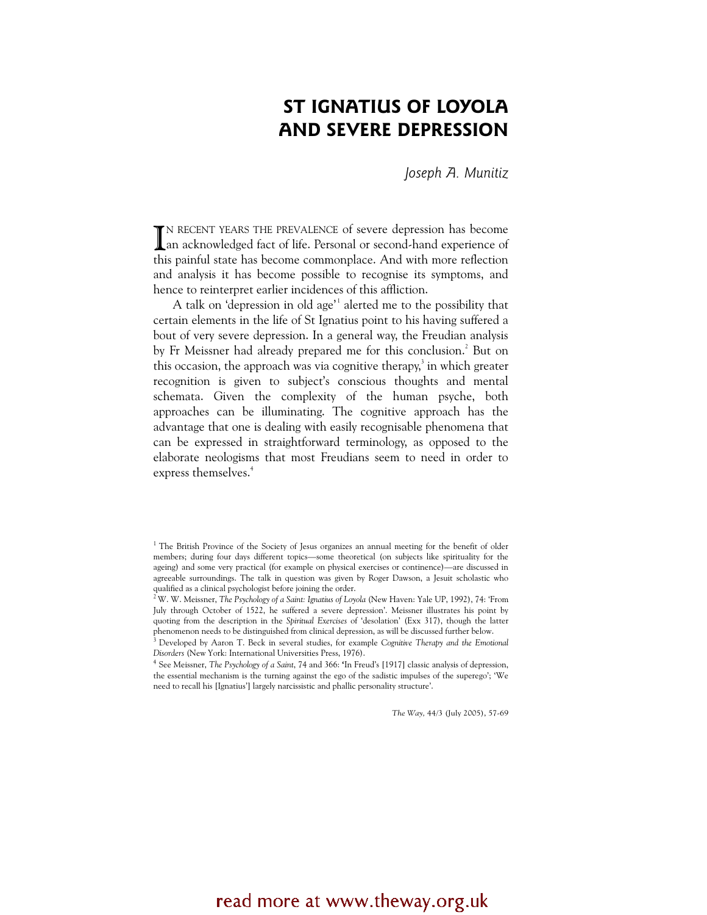# ST IGNATIUS OF LOYOLA AND SEVERE DEPRESSION

Joseph A. Munitiz

TN RECENT YEARS THE PREVALENCE of severe depression has become IN RECENT YEARS THE PREVALENCE of severe depression has become<br>an acknowledged fact of life. Personal or second-hand experience of this painful state has become commonplace. And with more reflection and analysis it has become possible to recognise its symptoms, and hence to reinterpret earlier incidences of this affliction.

A talk on 'depression in old age'<sup>1</sup> alerted me to the possibility that certain elements in the life of St Ignatius point to his having suffered a bout of very severe depression. In a general way, the Freudian analysis by Fr Meissner had already prepared me for this conclusion.<sup>2</sup> But on this occasion, the approach was via cognitive therapy,<sup>3</sup> in which greater recognition is given to subject's conscious thoughts and mental schemata. Given the complexity of the human psyche, both approaches can be illuminating. The cognitive approach has the advantage that one is dealing with easily recognisable phenomena that can be expressed in straightforward terminology, as opposed to the elaborate neologisms that most Freudians seem to need in order to express themselves.<sup>4</sup>

The Way, 44/3 (July 2005), 57-69

<sup>&</sup>lt;sup>1</sup> The British Province of the Society of Jesus organizes an annual meeting for the benefit of older members; during four days different topics—some theoretical (on subjects like spirituality for the ageing) and some very practical (for example on physical exercises or continence)—are discussed in agreeable surroundings. The talk in question was given by Roger Dawson, a Jesuit scholastic who qualified as a clinical psychologist before joining the order.

<sup>&</sup>lt;sup>2</sup> W. W. Meissner, The Psychology of a Saint: Ignatius of Loyola (New Haven: Yale UP, 1992), 74: 'From July through October of 1522, he suffered a severe depression'. Meissner illustrates his point by quoting from the description in the Spiritual Exercises of 'desolation' (Exx 317), though the latter phenomenon needs to be distinguished from clinical depression, as will be discussed further below.

<sup>&</sup>lt;sup>3</sup> Developed by Aaron T. Beck in several studies, for example Cognitive Therapy and the Emotional Disorders (New York: International Universities Press, 1976).

<sup>4</sup> See Meissner, The Psychology of a Saint, 74 and 366: 'In Freud's [1917] classic analysis of depression, the essential mechanism is the turning against the ego of the sadistic impulses of the superego'; 'We need to recall his [Ignatius'] largely narcissistic and phallic personality structure'.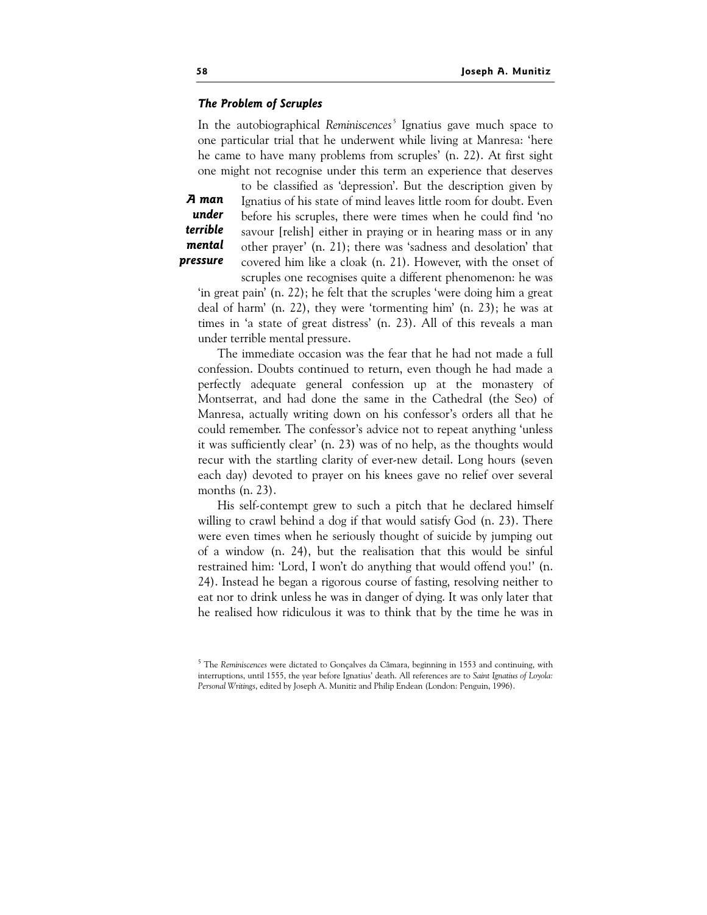### The Problem of Scruples

In the autobiographical Reminiscences<sup>5</sup> Ignatius gave much space to one particular trial that he underwent while living at Manresa: 'here he came to have many problems from scruples' (n. 22). At first sight one might not recognise under this term an experience that deserves

A man under terrible mental pressure to be classified as 'depression'. But the description given by Ignatius of his state of mind leaves little room for doubt. Even before his scruples, there were times when he could find 'no savour [relish] either in praying or in hearing mass or in any other prayer' (n. 21); there was 'sadness and desolation' that covered him like a cloak (n. 21). However, with the onset of

scruples one recognises quite a different phenomenon: he was 'in great pain' (n. 22); he felt that the scruples 'were doing him a great deal of harm' (n. 22), they were 'tormenting him' (n. 23); he was at times in 'a state of great distress' (n. 23). All of this reveals a man under terrible mental pressure.

The immediate occasion was the fear that he had not made a full confession. Doubts continued to return, even though he had made a perfectly adequate general confession up at the monastery of Montserrat, and had done the same in the Cathedral (the Seo) of Manresa, actually writing down on his confessor's orders all that he could remember. The confessor's advice not to repeat anything 'unless it was sufficiently clear' (n. 23) was of no help, as the thoughts would recur with the startling clarity of ever-new detail. Long hours (seven each day) devoted to prayer on his knees gave no relief over several months (n. 23).

His self-contempt grew to such a pitch that he declared himself willing to crawl behind a dog if that would satisfy God (n. 23). There were even times when he seriously thought of suicide by jumping out of a window (n. 24), but the realisation that this would be sinful restrained him: 'Lord, I won't do anything that would offend you!' (n. 24). Instead he began a rigorous course of fasting, resolving neither to eat nor to drink unless he was in danger of dying. It was only later that he realised how ridiculous it was to think that by the time he was in

<sup>&</sup>lt;sup>5</sup> The Reminiscences were dictated to Gonçalves da Câmara, beginning in 1553 and continuing, with interruptions, until 1555, the year before Ignatius' death. All references are to Saint Ignatius of Loyola: Personal Writings, edited by Joseph A. Munitiz and Philip Endean (London: Penguin, 1996).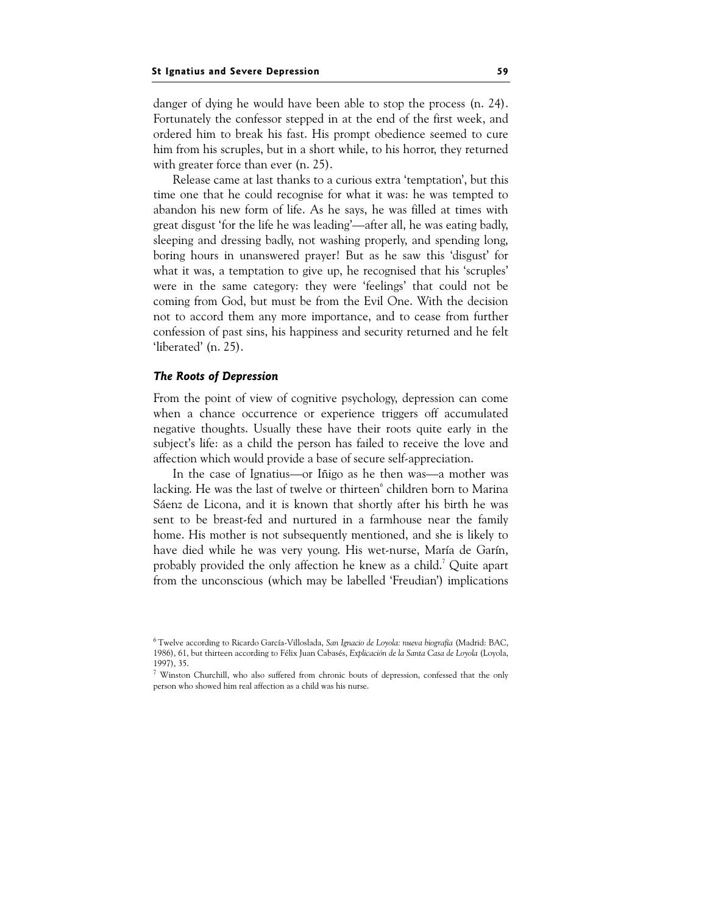danger of dying he would have been able to stop the process (n. 24). Fortunately the confessor stepped in at the end of the first week, and ordered him to break his fast. His prompt obedience seemed to cure him from his scruples, but in a short while, to his horror, they returned with greater force than ever (n. 25).

Release came at last thanks to a curious extra 'temptation', but this time one that he could recognise for what it was: he was tempted to abandon his new form of life. As he says, he was filled at times with great disgust 'for the life he was leading'—after all, he was eating badly, sleeping and dressing badly, not washing properly, and spending long, boring hours in unanswered prayer! But as he saw this 'disgust' for what it was, a temptation to give up, he recognised that his 'scruples' were in the same category: they were 'feelings' that could not be coming from God, but must be from the Evil One. With the decision not to accord them any more importance, and to cease from further confession of past sins, his happiness and security returned and he felt 'liberated' (n. 25).

# $T_{\rm r}$  and  $T_{\rm r}$  of  $T_{\rm r}$  dependent

From the point of view of cognitive psychology, depression can come when a chance occurrence or experience triggers off accumulated negative thoughts. Usually these have their roots quite early in the subject's life: as a child the person has failed to receive the love and affection which would provide a base of secure self-appreciation.

In the case of Ignatius—or Iñigo as he then was—a mother was lacking. He was the last of twelve or thirteen<sup>6</sup> children born to Marina Sáenz de Licona, and it is known that shortly after his birth he was sent to be breast-fed and nurtured in a farmhouse near the family home. His mother is not subsequently mentioned, and she is likely to have died while he was very young. His wet-nurse, María de Garín, probably provided the only affection he knew as a child.<sup>7</sup> Quite apart from the unconscious (which may be labelled 'Freudian') implications

<sup>&</sup>lt;sup>6</sup> Twelve according to Ricardo García-Villoslada, San Ignacio de Loyola: nueva biografía (Madrid: BAC, 1986), 61, but thirteen according to Félix Juan Cabasés, Explicación de la Santa Casa de Loyola (Loyola, 1997), 35.

<sup>7</sup> Winston Churchill, who also suffered from chronic bouts of depression, confessed that the only person who showed him real affection as a child was his nurse.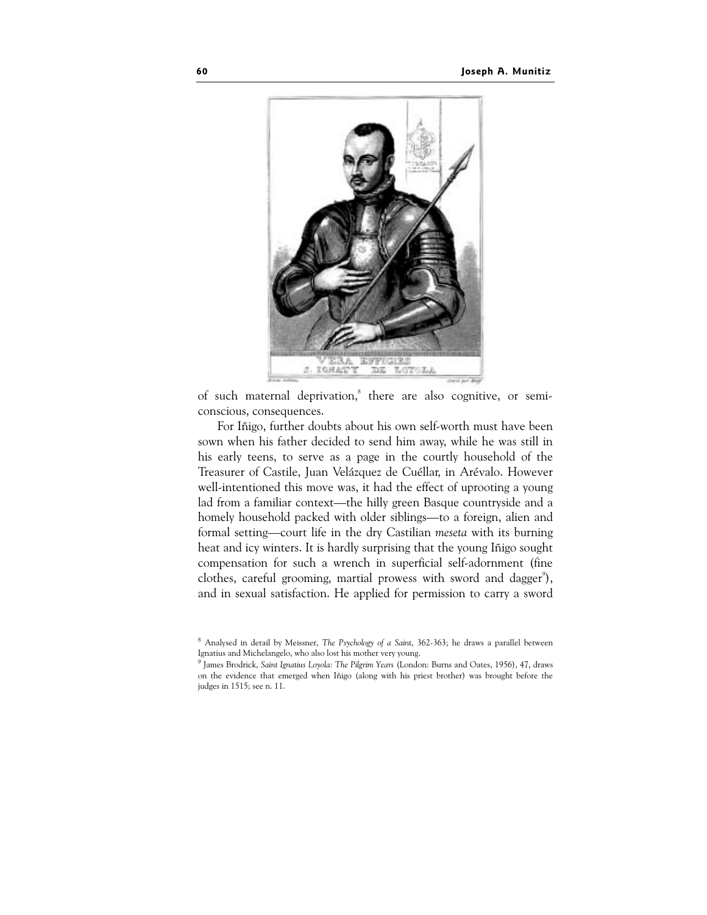

of such maternal deprivation,<sup>8</sup> there are also cognitive, or semiconscious, consequences.

For Iñigo, further doubts about his own self-worth must have been sown when his father decided to send him away, while he was still in his early teens, to serve as a page in the courtly household of the Treasurer of Castile, Juan Velázquez de Cuéllar, in Arévalo. However well-intentioned this move was, it had the effect of uprooting a young lad from a familiar context—the hilly green Basque countryside and a homely household packed with older siblings—to a foreign, alien and formal setting—court life in the dry Castilian meseta with its burning heat and icy winters. It is hardly surprising that the young Iñigo sought compensation for such a wrench in superficial self-adornment (fine clothes, careful grooming, martial prowess with sword and dagger<sup>9</sup>), and in sexual satisfaction. He applied for permission to carry a sword

 $8$  Analysed in detail by Meissner, The Psychology of a Saint, 362-363; he draws a parallel between Ignatius and Michelangelo, who also lost his mother very young.

<sup>9</sup> James Brodrick, Saint Ignatius Loyola: The Pilgrim Years (London: Burns and Oates, 1956), 47, draws on the evidence that emerged when Iñigo (along with his priest brother) was brought before the judges in 1515; see n. 11.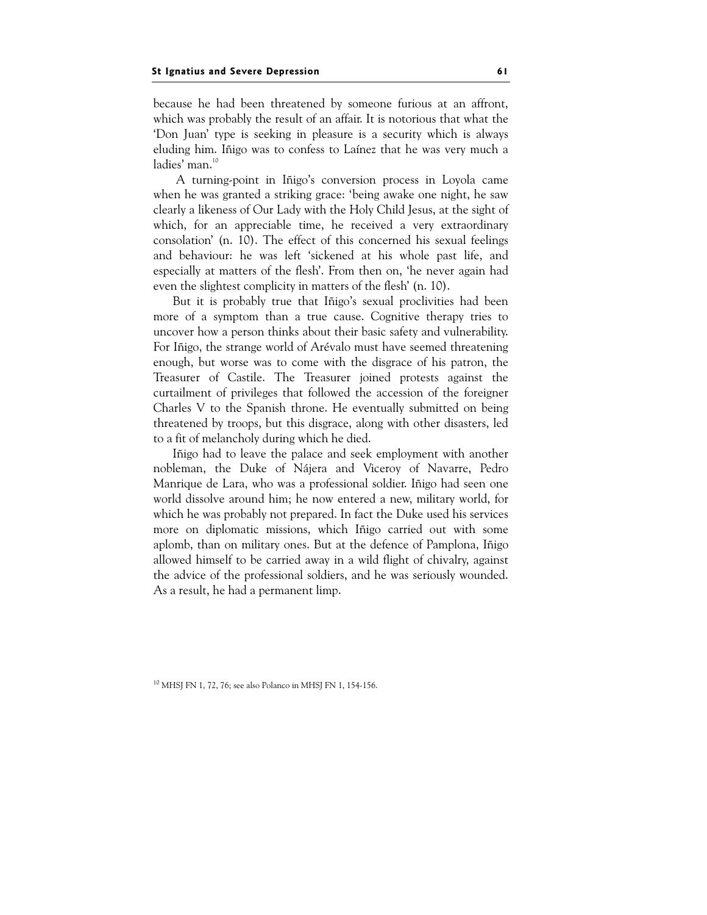because he had been threatened by someone furious at an affront, which was probably the result of an affair. It is notorious that what the 'Don Juan' type is seeking in pleasure is a security which is always eluding him. Iñigo was to confess to Laínez that he was very much a ladies' man.<sup>10</sup>

 A turning-point in Iñigo's conversion process in Loyola came when he was granted a striking grace: 'being awake one night, he saw clearly a likeness of Our Lady with the Holy Child Jesus, at the sight of which, for an appreciable time, he received a very extraordinary consolation' (n. 10). The effect of this concerned his sexual feelings and behaviour: he was left 'sickened at his whole past life, and especially at matters of the flesh'. From then on, 'he never again had even the slightest complicity in matters of the flesh' (n. 10).

But it is probably true that Iñigo's sexual proclivities had been more of a symptom than a true cause. Cognitive therapy tries to uncover how a person thinks about their basic safety and vulnerability. For Iñigo, the strange world of Arévalo must have seemed threatening enough, but worse was to come with the disgrace of his patron, the Treasurer of Castile. The Treasurer joined protests against the curtailment of privileges that followed the accession of the foreigner Charles V to the Spanish throne. He eventually submitted on being threatened by troops, but this disgrace, along with other disasters, led to a fit of melancholy during which he died.

Iñigo had to leave the palace and seek employment with another nobleman, the Duke of Nájera and Viceroy of Navarre, Pedro Manrique de Lara, who was a professional soldier. Iñigo had seen one world dissolve around him; he now entered a new, military world, for which he was probably not prepared. In fact the Duke used his services more on diplomatic missions, which Iñigo carried out with some aplomb, than on military ones. But at the defence of Pamplona, Iñigo allowed himself to be carried away in a wild flight of chivalry, against the advice of the professional soldiers, and he was seriously wounded. As a result, he had a permanent limp.

<sup>10</sup> MHSJ FN 1, 72, 76; see also Polanco in MHSJ FN 1, 154-156.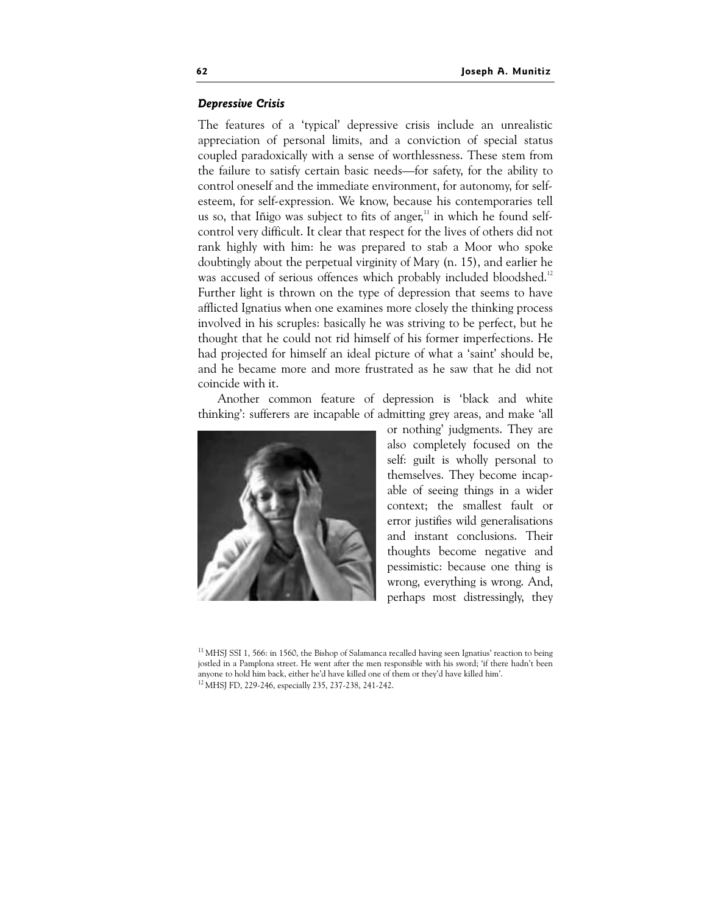#### **Depressive Crisis** Depressive Crisis

The features of a 'typical' depressive crisis include an unrealistic appreciation of personal limits, and a conviction of special status coupled paradoxically with a sense of worthlessness. These stem from the failure to satisfy certain basic needs—for safety, for the ability to control oneself and the immediate environment, for autonomy, for selfesteem, for self-expression. We know, because his contemporaries tell us so, that Iñigo was subject to fits of anger, $11$  in which he found selfcontrol very difficult. It clear that respect for the lives of others did not rank highly with him: he was prepared to stab a Moor who spoke doubtingly about the perpetual virginity of Mary (n. 15), and earlier he was accused of serious offences which probably included bloodshed.<sup>12</sup> Further light is thrown on the type of depression that seems to have afflicted Ignatius when one examines more closely the thinking process involved in his scruples: basically he was striving to be perfect, but he thought that he could not rid himself of his former imperfections. He had projected for himself an ideal picture of what a 'saint' should be, and he became more and more frustrated as he saw that he did not coincide with it.

Another common feature of depression is 'black and white thinking': sufferers are incapable of admitting grey areas, and make 'all



or nothing' judgments. They are also completely focused on the self: guilt is wholly personal to themselves. They become incapable of seeing things in a wider context; the smallest fault or error justifies wild generalisations and instant conclusions. Their thoughts become negative and pessimistic: because one thing is wrong, everything is wrong. And, perhaps most distressingly, they

 $11$  MHSJ SSI 1, 566: in 1560, the Bishop of Salamanca recalled having seen Ignatius' reaction to being jostled in a Pamplona street. He went after the men responsible with his sword; 'if there hadn't been anyone to hold him back, either he'd have killed one of them or they'd have killed him'.

<sup>12</sup> MHSJ FD, 229-246, especially 235, 237-238, 241-242.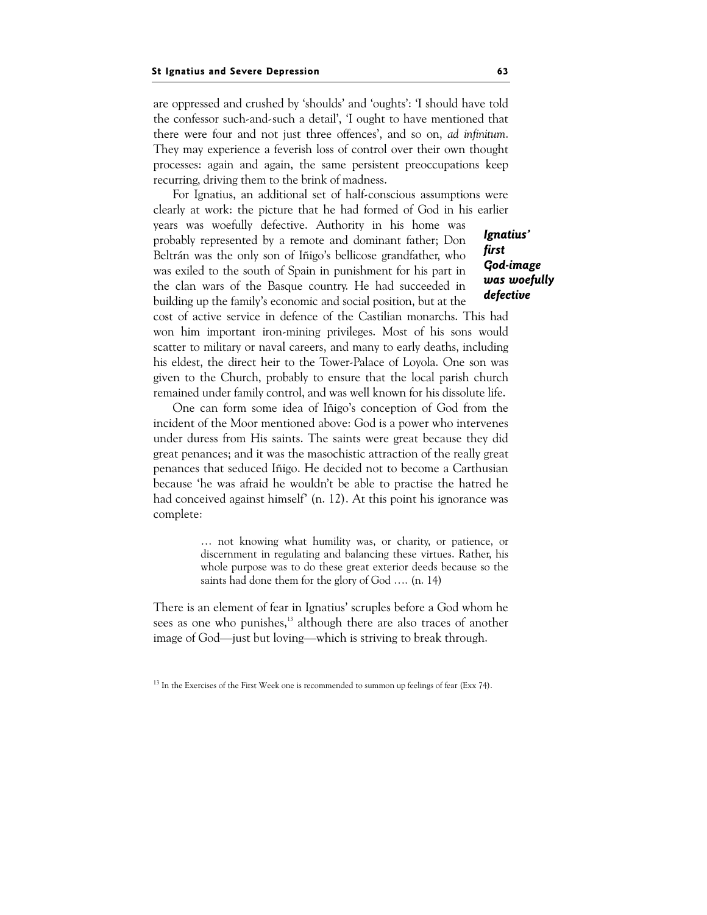are oppressed and crushed by 'shoulds' and 'oughts': 'I should have told the confessor such-and-such a detail', 'I ought to have mentioned that there were four and not just three offences', and so on, ad infinitum. They may experience a feverish loss of control over their own thought processes: again and again, the same persistent preoccupations keep recurring, driving them to the brink of madness.

Ignatius' first God-image was woefully defective For Ignatius, an additional set of half-conscious assumptions were clearly at work: the picture that he had formed of God in his earlier years was woefully defective. Authority in his home was probably represented by a remote and dominant father; Don Beltrán was the only son of Iñigo's bellicose grandfather, who was exiled to the south of Spain in punishment for his part in the clan wars of the Basque country. He had succeeded in building up the family's economic and social position, but at the cost of active service in defence of the Castilian monarchs. This had won him important iron-mining privileges. Most of his sons would scatter to military or naval careers, and many to early deaths, including his eldest, the direct heir to the Tower-Palace of Loyola. One son was given to the Church, probably to ensure that the local parish church

One can form some idea of Iñigo's conception of God from the incident of the Moor mentioned above: God is a power who intervenes under duress from His saints. The saints were great because they did great penances; and it was the masochistic attraction of the really great penances that seduced Iñigo. He decided not to become a Carthusian because 'he was afraid he wouldn't be able to practise the hatred he had conceived against himself' (n. 12). At this point his ignorance was complete:

remained under family control, and was well known for his dissolute life.

… not knowing what humility was, or charity, or patience, or discernment in regulating and balancing these virtues. Rather, his whole purpose was to do these great exterior deeds because so the saints had done them for the glory of God …. (n. 14)

There is an element of fear in Ignatius' scruples before a God whom he sees as one who punishes,<sup>13</sup> although there are also traces of another image of God—just but loving—which is striving to break through.

<sup>&</sup>lt;sup>13</sup> In the Exercises of the First Week one is recommended to summon up feelings of fear (Exx 74).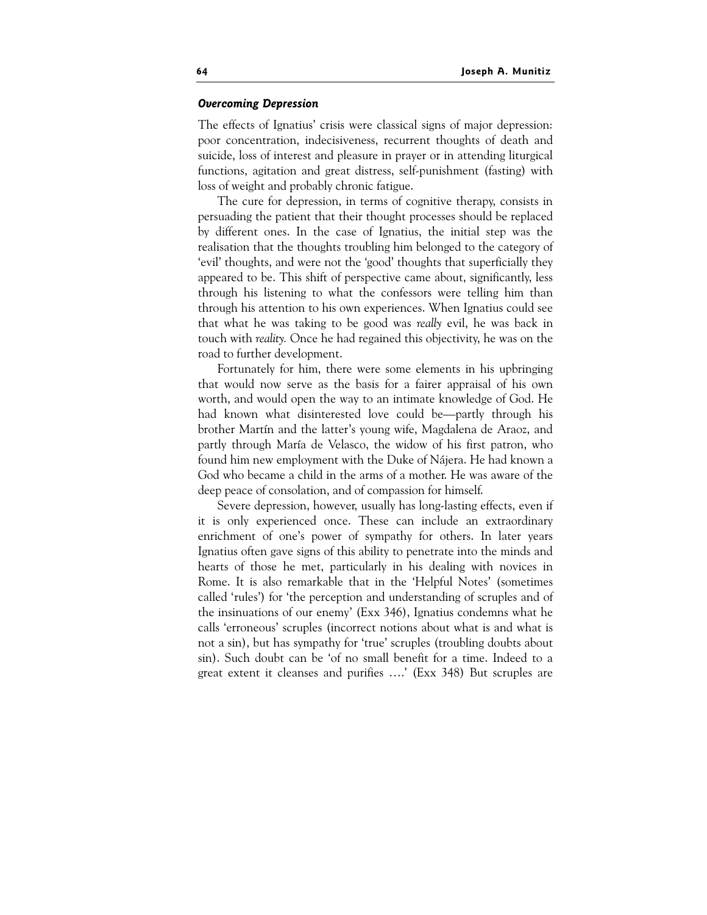#### **Overcoming Depression** Overcoming Depression

The effects of Ignatius' crisis were classical signs of major depression: poor concentration, indecisiveness, recurrent thoughts of death and suicide, loss of interest and pleasure in prayer or in attending liturgical functions, agitation and great distress, self-punishment (fasting) with loss of weight and probably chronic fatigue.

The cure for depression, in terms of cognitive therapy, consists in persuading the patient that their thought processes should be replaced by different ones. In the case of Ignatius, the initial step was the realisation that the thoughts troubling him belonged to the category of 'evil' thoughts, and were not the 'good' thoughts that superficially they appeared to be. This shift of perspective came about, significantly, less through his listening to what the confessors were telling him than through his attention to his own experiences. When Ignatius could see that what he was taking to be good was really evil, he was back in touch with reality. Once he had regained this objectivity, he was on the road to further development.

Fortunately for him, there were some elements in his upbringing that would now serve as the basis for a fairer appraisal of his own worth, and would open the way to an intimate knowledge of God. He had known what disinterested love could be—partly through his brother Martín and the latter's young wife, Magdalena de Araoz, and partly through María de Velasco, the widow of his first patron, who found him new employment with the Duke of Nájera. He had known a God who became a child in the arms of a mother. He was aware of the deep peace of consolation, and of compassion for himself.

Severe depression, however, usually has long-lasting effects, even if it is only experienced once. These can include an extraordinary enrichment of one's power of sympathy for others. In later years Ignatius often gave signs of this ability to penetrate into the minds and hearts of those he met, particularly in his dealing with novices in Rome. It is also remarkable that in the 'Helpful Notes' (sometimes called 'rules') for 'the perception and understanding of scruples and of the insinuations of our enemy' (Exx 346), Ignatius condemns what he calls 'erroneous' scruples (incorrect notions about what is and what is not a sin), but has sympathy for 'true' scruples (troubling doubts about sin). Such doubt can be 'of no small benefit for a time. Indeed to a great extent it cleanses and purifies ….' (Exx 348) But scruples are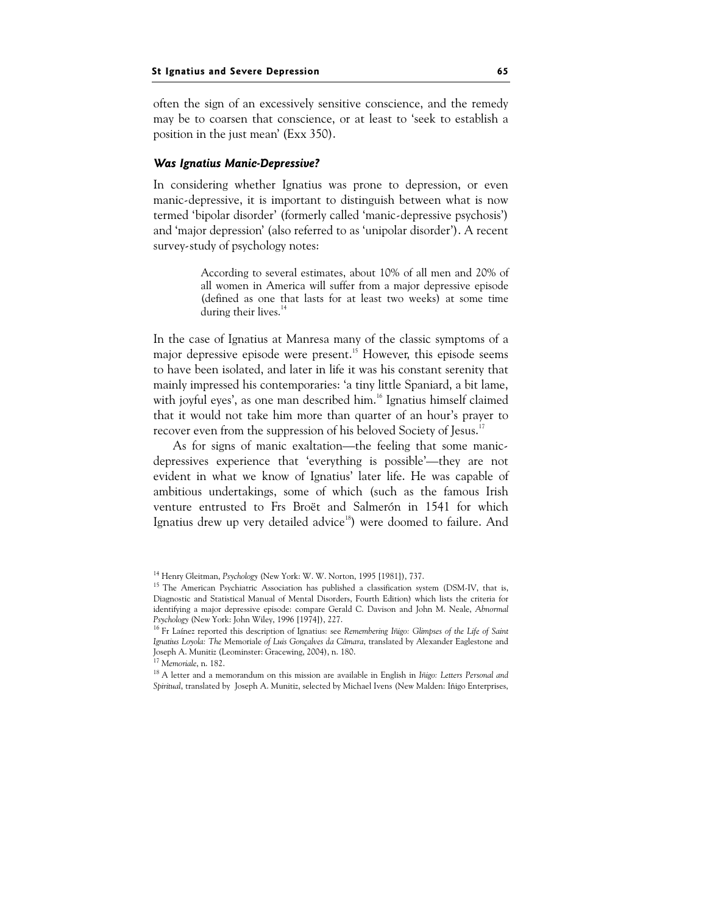often the sign of an excessively sensitive conscience, and the remedy may be to coarsen that conscience, or at least to 'seek to establish a position in the just mean' (Exx 350).

# $\mathcal{L}$

In considering whether Ignatius was prone to depression, or even manic-depressive, it is important to distinguish between what is now termed 'bipolar disorder' (formerly called 'manic-depressive psychosis') and 'major depression' (also referred to as 'unipolar disorder'). A recent survey-study of psychology notes:

> According to several estimates, about 10% of all men and 20% of all women in America will suffer from a major depressive episode (defined as one that lasts for at least two weeks) at some time during their lives.<sup>1</sup>

In the case of Ignatius at Manresa many of the classic symptoms of a maior depressive episode were present.<sup>15</sup> However, this episode seems to have been isolated, and later in life it was his constant serenity that mainly impressed his contemporaries: 'a tiny little Spaniard, a bit lame, with joyful eyes', as one man described him.<sup>16</sup> Ignatius himself claimed that it would not take him more than quarter of an hour's prayer to recover even from the suppression of his beloved Society of Jesus.<sup>17</sup>

As for signs of manic exaltation—the feeling that some manicdepressives experience that 'everything is possible'—they are not evident in what we know of Ignatius' later life. He was capable of ambitious undertakings, some of which (such as the famous Irish venture entrusted to Frs Broët and Salmerón in 1541 for which Ignatius drew up very detailed advice<sup>18</sup>) were doomed to failure. And

<sup>&</sup>lt;sup>14</sup> Henry Gleitman, Psychology (New York: W. W. Norton, 1995 [1981]), 737.

<sup>&</sup>lt;sup>15</sup> The American Psychiatric Association has published a classification system (DSM-IV, that is, Diagnostic and Statistical Manual of Mental Disorders, Fourth Edition) which lists the criteria for identifying a major depressive episode: compare Gerald C. Davison and John M. Neale, Abnormal Psychology (New York: John Wiley, 1996 [1974]), 227.

<sup>&</sup>lt;sup>16</sup> Fr Laínez reported this description of Ignatius: see Remembering Iñigo: Glimpses of the Life of Saint Ignatius Loyola: The Memoriale of Luis Gonçalves da Câmara, translated by Alexander Eaglestone and Joseph A. Munitiz (Leominster: Gracewing, 2004), n. 180.

<sup>17</sup> Memoriale, n. 182.

<sup>&</sup>lt;sup>18</sup> A letter and a memorandum on this mission are available in English in Iñigo: Letters Personal and Spiritual, translated by Joseph A. Munitiz, selected by Michael Ivens (New Malden: Iñigo Enterprises,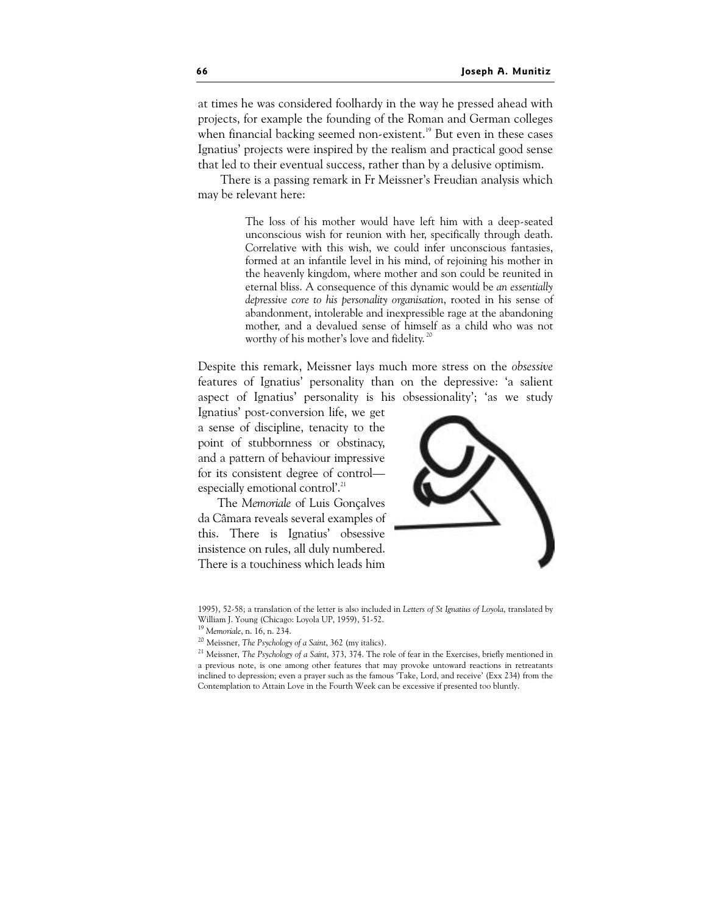at times he was considered foolhardy in the way he pressed ahead with projects, for example the founding of the Roman and German colleges when financial backing seemed non-existent.<sup>19</sup> But even in these cases Ignatius' projects were inspired by the realism and practical good sense that led to their eventual success, rather than by a delusive optimism.

 There is a passing remark in Fr Meissner's Freudian analysis which may be relevant here:

> The loss of his mother would have left him with a deep-seated unconscious wish for reunion with her, specifically through death. Correlative with this wish, we could infer unconscious fantasies, formed at an infantile level in his mind, of rejoining his mother in the heavenly kingdom, where mother and son could be reunited in eternal bliss. A consequence of this dynamic would be an essentially depressive core to his personality organisation, rooted in his sense of abandonment, intolerable and inexpressible rage at the abandoning mother, and a devalued sense of himself as a child who was not worthy of his mother's love and fidelity.<sup>20</sup>

Despite this remark, Meissner lays much more stress on the obsessive features of Ignatius' personality than on the depressive: 'a salient aspect of Ignatius' personality is his obsessionality'; 'as we study

Ignatius' post-conversion life, we get a sense of discipline, tenacity to the point of stubbornness or obstinacy, and a pattern of behaviour impressive for its consistent degree of control especially emotional control'.<sup>21</sup>

The Memoriale of Luis Gonçalves da Câmara reveals several examples of this. There is Ignatius' obsessive insistence on rules, all duly numbered. There is a touchiness which leads him



<sup>1995), 52-58;</sup> a translation of the letter is also included in Letters of St Ignatius of Loyola, translated by William J. Young (Chicago: Loyola UP, 1959), 51-52.

<sup>20</sup> Meissner, The Psychology of a Saint, 362 (my italics).

<sup>19</sup> Memoriale, n. 16, n. 234.

 $^{21}$  Meissner, The Psychology of a Saint, 373, 374. The role of fear in the Exercises, briefly mentioned in a previous note, is one among other features that may provoke untoward reactions in retreatants inclined to depression; even a prayer such as the famous 'Take, Lord, and receive' (Exx 234) from the Contemplation to Attain Love in the Fourth Week can be excessive if presented too bluntly.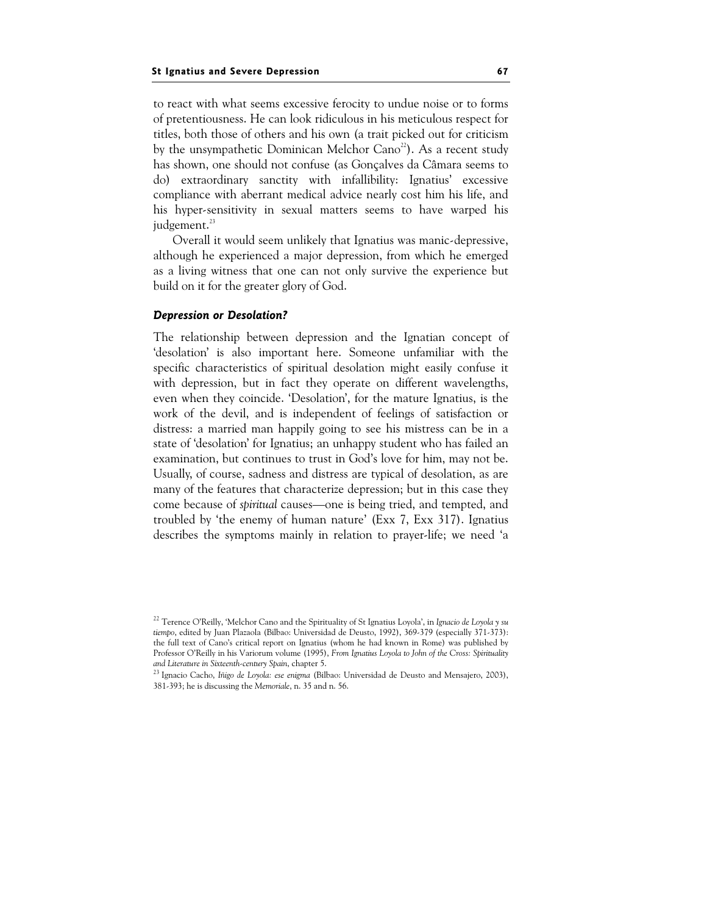to react with what seems excessive ferocity to undue noise or to forms of pretentiousness. He can look ridiculous in his meticulous respect for titles, both those of others and his own (a trait picked out for criticism by the unsympathetic Dominican Melchor Cano<sup>22</sup>). As a recent study has shown, one should not confuse (as Gonçalves da Câmara seems to do) extraordinary sanctity with infallibility: Ignatius' excessive compliance with aberrant medical advice nearly cost him his life, and his hyper-sensitivity in sexual matters seems to have warped his judgement.<sup>23</sup>

Overall it would seem unlikely that Ignatius was manic-depressive, although he experienced a major depression, from which he emerged as a living witness that one can not only survive the experience but build on it for the greater glory of God.

# Depression or Desolation?

The relationship between depression and the Ignatian concept of 'desolation' is also important here. Someone unfamiliar with the specific characteristics of spiritual desolation might easily confuse it with depression, but in fact they operate on different wavelengths, even when they coincide. 'Desolation', for the mature Ignatius, is the work of the devil, and is independent of feelings of satisfaction or distress: a married man happily going to see his mistress can be in a state of 'desolation' for Ignatius; an unhappy student who has failed an examination, but continues to trust in God's love for him, may not be. Usually, of course, sadness and distress are typical of desolation, as are many of the features that characterize depression; but in this case they come because of spiritual causes—one is being tried, and tempted, and troubled by 'the enemy of human nature' (Exx 7, Exx 317). Ignatius describes the symptoms mainly in relation to prayer-life; we need 'a

<sup>&</sup>lt;sup>22</sup> Terence O'Reilly, 'Melchor Cano and the Spirituality of St Ignatius Loyola', in Ignacio de Loyola y su tiempo, edited by Juan Plazaola (Bilbao: Universidad de Deusto, 1992), 369-379 (especially 371-373): the full text of Cano's critical report on Ignatius (whom he had known in Rome) was published by Professor O'Reilly in his Variorum volume (1995), From Ignatius Loyola to John of the Cross: Spirituality and Literature in Sixteenth-century Spain, chapter 5.

<sup>&</sup>lt;sup>23</sup> Ignacio Cacho, Iñigo de Loyola: ese enigma (Bilbao: Universidad de Deusto and Mensajero, 2003), 381-393; he is discussing the Memoriale, n. 35 and n. 56.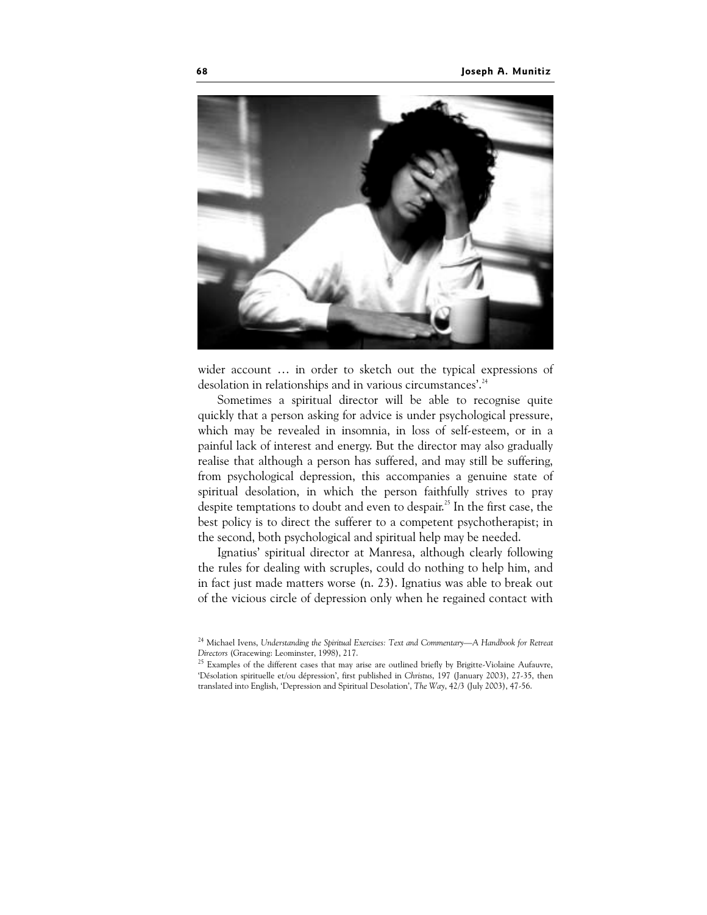

wider account … in order to sketch out the typical expressions of desolation in relationships and in various circumstances'.<sup>24</sup>

Sometimes a spiritual director will be able to recognise quite quickly that a person asking for advice is under psychological pressure, which may be revealed in insomnia, in loss of self-esteem, or in a painful lack of interest and energy. But the director may also gradually realise that although a person has suffered, and may still be suffering, from psychological depression, this accompanies a genuine state of spiritual desolation, in which the person faithfully strives to pray despite temptations to doubt and even to despair.<sup>25</sup> In the first case, the best policy is to direct the sufferer to a competent psychotherapist; in the second, both psychological and spiritual help may be needed.

Ignatius' spiritual director at Manresa, although clearly following the rules for dealing with scruples, could do nothing to help him, and in fact just made matters worse (n. 23). Ignatius was able to break out of the vicious circle of depression only when he regained contact with

<sup>&</sup>lt;sup>24</sup> Michael Ivens, Understanding the Spiritual Exercises: Text and Commentary-A Handbook for Retreat Directors (Gracewing: Leominster, 1998), 217.

<sup>&</sup>lt;sup>25</sup> Examples of the different cases that may arise are outlined briefly by Brigitte-Violaine Aufauvre, 'Désolation spirituelle et/ou dépression', first published in Christus, 197 (January 2003), 27-35, then translated into English, 'Depression and Spiritual Desolation', The Way, 42/3 (July 2003), 47-56.